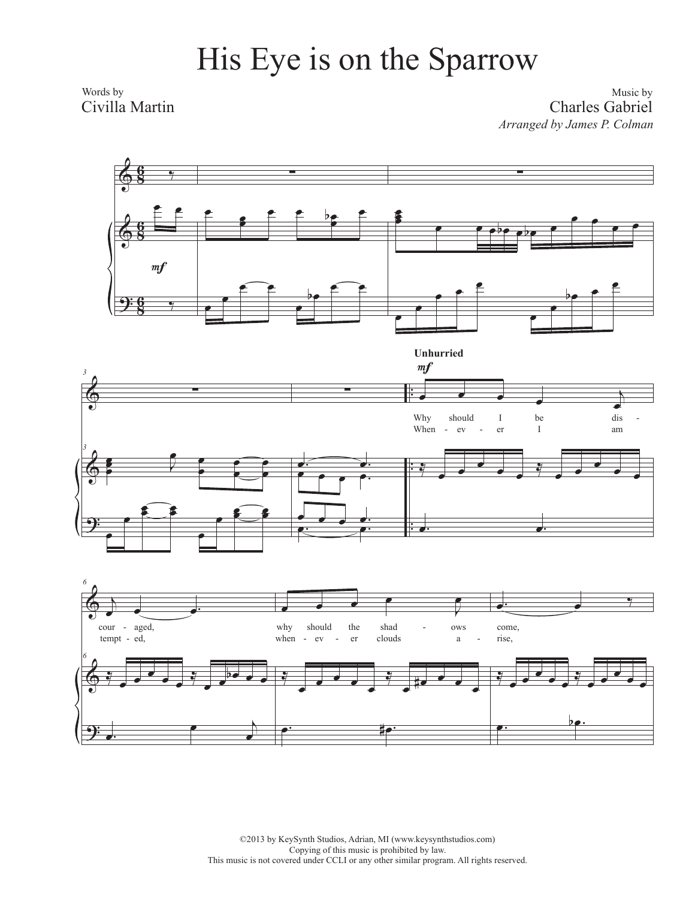## His Eye is on the Sparrow

Words by Civilla Martin

Music by Charles Gabriel *Arranged by James P. Colman*